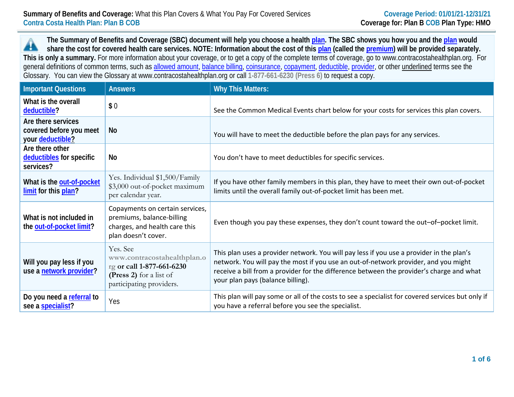**The Summary of Benefits and Coverage (SBC) document will help you choose a health [plan.](https://www.healthcare.gov/sbc-glossary/#plan) The SBC shows you how you and th[e plan](https://www.healthcare.gov/sbc-glossary/#plan) would** 44 **share the cost for covered health care services. NOTE: Information about the cost of this [plan](https://www.healthcare.gov/sbc-glossary/#plan) (called the [premium\)](https://www.healthcare.gov/sbc-glossary/#premium) will be provided separately. This is only a summary.** For more information about your coverage, or to get a copy of the complete terms of coverage, go to www.contracostahealthplan.org. For general definitions of common terms, such as [allowed amount,](https://www.healthcare.gov/sbc-glossary/#allowed-amount) [balance billing,](https://www.healthcare.gov/sbc-glossary/#balance-billing) [coinsurance,](https://www.healthcare.gov/sbc-glossary/#coinsurance) [copayment,](https://www.healthcare.gov/sbc-glossary/#copayment) [deductible,](https://www.healthcare.gov/sbc-glossary/#deductible) [provider,](https://www.healthcare.gov/sbc-glossary/#provider) or other underlined terms see the Glossary. You can view the Glossary at www.contracostahealthplan.org or call **1-877-661-6230 (Press 6)** to request a copy.

| <b>Important Questions</b>                                        | <b>Answers</b>                                                                                                              | <b>Why This Matters:</b>                                                                                                                                                                                                                                                                                         |
|-------------------------------------------------------------------|-----------------------------------------------------------------------------------------------------------------------------|------------------------------------------------------------------------------------------------------------------------------------------------------------------------------------------------------------------------------------------------------------------------------------------------------------------|
| What is the overall<br>deductible?                                | \$0                                                                                                                         | See the Common Medical Events chart below for your costs for services this plan covers.                                                                                                                                                                                                                          |
| Are there services<br>covered before you meet<br>your deductible? | No                                                                                                                          | You will have to meet the deductible before the plan pays for any services.                                                                                                                                                                                                                                      |
| Are there other<br>deductibles for specific<br>services?          | No                                                                                                                          | You don't have to meet deductibles for specific services.                                                                                                                                                                                                                                                        |
| What is the out-of-pocket<br>limit for this plan?                 | Yes. Individual \$1,500/Family<br>\$3,000 out-of-pocket maximum<br>per calendar year.                                       | If you have other family members in this plan, they have to meet their own out-of-pocket<br>limits until the overall family out-of-pocket limit has been met.                                                                                                                                                    |
| What is not included in<br>the out-of-pocket limit?               | Copayments on certain services,<br>premiums, balance-billing<br>charges, and health care this<br>plan doesn't cover.        | Even though you pay these expenses, they don't count toward the out-of-pocket limit.                                                                                                                                                                                                                             |
| Will you pay less if you<br>use a network provider?               | Yes. See<br>www.contracostahealthplan.o<br>rg or call 1-877-661-6230<br>(Press 2) for a list of<br>participating providers. | This plan uses a provider network. You will pay less if you use a provider in the plan's<br>network. You will pay the most if you use an out-of-network provider, and you might<br>receive a bill from a provider for the difference between the provider's charge and what<br>your plan pays (balance billing). |
| Do you need a referral to<br>see a specialist?                    | Yes                                                                                                                         | This plan will pay some or all of the costs to see a specialist for covered services but only if<br>you have a referral before you see the specialist.                                                                                                                                                           |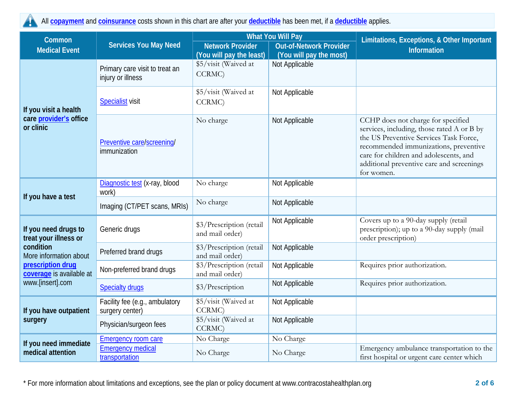All **[copayment](https://www.healthcare.gov/sbc-glossary/#copayment)** and **[coinsurance](https://www.healthcare.gov/sbc-glossary/#coinsurance)** costs shown in this chart are after your **[deductible](https://www.healthcare.gov/sbc-glossary/#deductible)** has been met, if a **[deductible](https://www.healthcare.gov/sbc-glossary/#deductible)** applies.

| Common                                                                                                                                                    | <b>Services You May Need</b>                        | <b>What You Will Pay</b>                                  |                         | Limitations, Exceptions, & Other Important<br><b>Information</b>                                                                                                                                                                                                         |  |
|-----------------------------------------------------------------------------------------------------------------------------------------------------------|-----------------------------------------------------|-----------------------------------------------------------|-------------------------|--------------------------------------------------------------------------------------------------------------------------------------------------------------------------------------------------------------------------------------------------------------------------|--|
| <b>Medical Event</b>                                                                                                                                      |                                                     | <b>Network Provider</b><br><b>Out-of-Network Provider</b> |                         |                                                                                                                                                                                                                                                                          |  |
|                                                                                                                                                           |                                                     | (You will pay the least)                                  | (You will pay the most) |                                                                                                                                                                                                                                                                          |  |
| If you visit a health<br>care provider's office<br>or clinic                                                                                              | Primary care visit to treat an<br>injury or illness | \$5/visit (Waived at<br>CCRMC)                            | Not Applicable          |                                                                                                                                                                                                                                                                          |  |
|                                                                                                                                                           | <b>Specialist visit</b>                             | \$5/visit (Waived at<br>CCRMC)                            | Not Applicable          |                                                                                                                                                                                                                                                                          |  |
|                                                                                                                                                           | Preventive care/screening/<br>immunization          | No charge                                                 | Not Applicable          | CCHP does not charge for specified<br>services, including, those rated A or B by<br>the US Preventive Services Task Force,<br>recommended immunizations, preventive<br>care for children and adolescents, and<br>additional preventive care and screenings<br>for women. |  |
|                                                                                                                                                           | Diagnostic test (x-ray, blood<br>work)              | No charge                                                 | Not Applicable          |                                                                                                                                                                                                                                                                          |  |
| If you have a test                                                                                                                                        | Imaging (CT/PET scans, MRIs)                        | No charge                                                 | Not Applicable          |                                                                                                                                                                                                                                                                          |  |
| If you need drugs to<br>treat your illness or<br>condition<br>More information about<br>prescription drug<br>coverage is available at<br>www.[insert].com | Generic drugs                                       | \$3/Prescription (retail<br>and mail order)               | Not Applicable          | Covers up to a 90-day supply (retail<br>prescription); up to a 90-day supply (mail<br>order prescription)                                                                                                                                                                |  |
|                                                                                                                                                           | Preferred brand drugs                               | \$3/Prescription (retail<br>and mail order)               | Not Applicable          |                                                                                                                                                                                                                                                                          |  |
|                                                                                                                                                           | Non-preferred brand drugs                           | \$3/Prescription (retail<br>and mail order)               | Not Applicable          | Requires prior authorization.                                                                                                                                                                                                                                            |  |
|                                                                                                                                                           | <b>Specialty drugs</b>                              | \$3/Prescription                                          | Not Applicable          | Requires prior authorization.                                                                                                                                                                                                                                            |  |
| If you have outpatient<br>surgery                                                                                                                         | Facility fee (e.g., ambulatory<br>surgery center)   | \$5/visit (Waived at<br>CCRMC)                            | Not Applicable          |                                                                                                                                                                                                                                                                          |  |
|                                                                                                                                                           | Physician/surgeon fees                              | \$5/visit (Waived at<br>CCRMC)                            | Not Applicable          |                                                                                                                                                                                                                                                                          |  |
| If you need immediate<br>medical attention                                                                                                                | <b>Emergency room care</b>                          | No Charge                                                 | No Charge               |                                                                                                                                                                                                                                                                          |  |
|                                                                                                                                                           | <b>Emergency medical</b><br>transportation          | No Charge                                                 | No Charge               | Emergency ambulance transportation to the<br>first hospital or urgent care center which                                                                                                                                                                                  |  |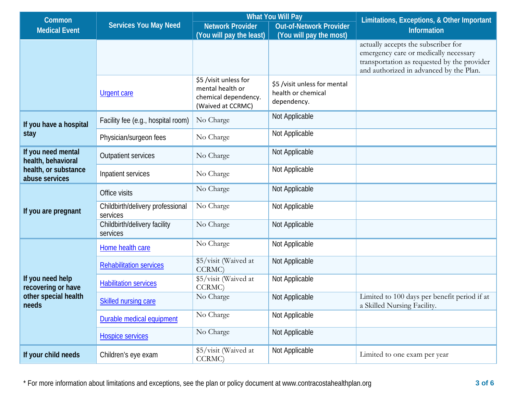| Common                                                                  | <b>Services You May Need</b>                 | <b>What You Will Pay</b>                                                               |                                                                   | Limitations, Exceptions, & Other Important                                                                                                                             |  |
|-------------------------------------------------------------------------|----------------------------------------------|----------------------------------------------------------------------------------------|-------------------------------------------------------------------|------------------------------------------------------------------------------------------------------------------------------------------------------------------------|--|
| <b>Medical Event</b>                                                    |                                              | <b>Network Provider</b>                                                                | <b>Out-of-Network Provider</b>                                    | Information                                                                                                                                                            |  |
|                                                                         |                                              | (You will pay the least)                                                               | (You will pay the most)                                           |                                                                                                                                                                        |  |
|                                                                         |                                              |                                                                                        |                                                                   | actually accepts the subscriber for<br>emergency care or medically necessary<br>transportation as requested by the provider<br>and authorized in advanced by the Plan. |  |
|                                                                         | Urgent care                                  | \$5 /visit unless for<br>mental health or<br>chemical dependency.<br>(Waived at CCRMC) | \$5 /visit unless for mental<br>health or chemical<br>dependency. |                                                                                                                                                                        |  |
| If you have a hospital<br>stay                                          | Facility fee (e.g., hospital room)           | No Charge                                                                              | Not Applicable                                                    |                                                                                                                                                                        |  |
|                                                                         | Physician/surgeon fees                       | No Charge                                                                              | Not Applicable                                                    |                                                                                                                                                                        |  |
| If you need mental<br>health, behavioral                                | Outpatient services                          | No Charge                                                                              | Not Applicable                                                    |                                                                                                                                                                        |  |
| health, or substance<br>abuse services                                  | Inpatient services                           | No Charge                                                                              | Not Applicable                                                    |                                                                                                                                                                        |  |
|                                                                         | Office visits                                | No Charge                                                                              | Not Applicable                                                    |                                                                                                                                                                        |  |
| If you are pregnant                                                     | Childbirth/delivery professional<br>services | No Charge                                                                              | Not Applicable                                                    |                                                                                                                                                                        |  |
|                                                                         | Childbirth/delivery facility<br>services     | No Charge                                                                              | Not Applicable                                                    |                                                                                                                                                                        |  |
|                                                                         | Home health care                             | No Charge                                                                              | Not Applicable                                                    |                                                                                                                                                                        |  |
| If you need help<br>recovering or have<br>other special health<br>needs | <b>Rehabilitation services</b>               | \$5/visit (Waived at<br>CCRMC)                                                         | Not Applicable                                                    |                                                                                                                                                                        |  |
|                                                                         | <b>Habilitation services</b>                 | \$5/visit (Waived at<br>CCRMC)                                                         | Not Applicable                                                    |                                                                                                                                                                        |  |
|                                                                         | Skilled nursing care                         | No Charge                                                                              | Not Applicable                                                    | Limited to 100 days per benefit period if at<br>a Skilled Nursing Facility.                                                                                            |  |
|                                                                         | Durable medical equipment                    | No Charge                                                                              | Not Applicable                                                    |                                                                                                                                                                        |  |
|                                                                         | <b>Hospice services</b>                      | No Charge                                                                              | Not Applicable                                                    |                                                                                                                                                                        |  |
| If your child needs                                                     | Children's eye exam                          | \$5/visit (Waived at<br>CCRMC)                                                         | Not Applicable                                                    | Limited to one exam per year                                                                                                                                           |  |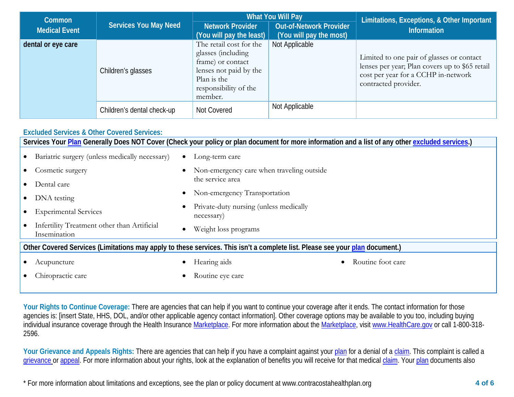| <b>Common</b>        | <b>Services You May Need</b> |                                                                                                                                                 | <b>What You Will Pay</b>                                  | Limitations, Exceptions, & Other Important                                                                                                                 |  |
|----------------------|------------------------------|-------------------------------------------------------------------------------------------------------------------------------------------------|-----------------------------------------------------------|------------------------------------------------------------------------------------------------------------------------------------------------------------|--|
| <b>Medical Event</b> |                              | <b>Network Provider</b><br>(You will pay the least)                                                                                             | <b>Out-of-Network Provider</b><br>(You will pay the most) | <b>Information</b>                                                                                                                                         |  |
| dental or eye care   | Children's glasses           | The retail cost for the<br>glasses (including<br>frame) or contact<br>lenses not paid by the<br>Plan is the<br>responsibility of the<br>member. | Not Applicable                                            | Limited to one pair of glasses or contact<br>lenses per year; Plan covers up to \$65 retail<br>cost per year for a CCHP in-network<br>contracted provider. |  |
|                      | Children's dental check-up   | Not Covered                                                                                                                                     | Not Applicable                                            |                                                                                                                                                            |  |

## **Excluded Services & Other Covered Services:**

| Services Your Plan Generally Does NOT Cover (Check your policy or plan document for more information and a list of any other excluded services.) |                                                      |  |  |  |  |
|--------------------------------------------------------------------------------------------------------------------------------------------------|------------------------------------------------------|--|--|--|--|
| Bariatric surgery (unless medically necessary)                                                                                                   | Long-term care<br>$\bullet$                          |  |  |  |  |
| Cosmetic surgery                                                                                                                                 | Non-emergency care when traveling outside            |  |  |  |  |
| Dental care                                                                                                                                      | the service area                                     |  |  |  |  |
| DNA testing                                                                                                                                      | Non-emergency Transportation<br>$\bullet$            |  |  |  |  |
| <b>Experimental Services</b>                                                                                                                     | Private-duty nursing (unless medically<br>necessary) |  |  |  |  |
| Infertility Treatment other than Artificial<br>Insemination                                                                                      | Weight loss programs<br>$\bullet$                    |  |  |  |  |
| Other Covered Services (Limitations may apply to these services. This isn't a complete list. Please see your plan document.)                     |                                                      |  |  |  |  |
| Acupuncture                                                                                                                                      | Hearing aids<br>Routine foot care                    |  |  |  |  |
| Chiropractic care                                                                                                                                | Routine eye care                                     |  |  |  |  |

Your Rights to Continue Coverage: There are agencies that can help if you want to continue your coverage after it ends. The contact information for those agencies is: [insert State, HHS, DOL, and/or other applicable agency contact information]. Other coverage options may be available to you too, including buying individual insurance coverage through the Health Insurance [Marketplace.](https://www.healthcare.gov/sbc-glossary/#marketplace) For more information about the [Marketplace,](https://www.healthcare.gov/sbc-glossary/#marketplace) visi[t www.HealthCare.gov](http://www.healthcare.gov/) or call 1-800-318-2596.

Your Grievance and Appeals Rights: There are agencies that can help if you have a complaint against you[r plan](https://www.healthcare.gov/sbc-glossary/#plan) for a denial of a [claim.](https://www.healthcare.gov/sbc-glossary/#claim) This complaint is called a [grievance](https://www.healthcare.gov/sbc-glossary/#grievance) or [appeal.](https://www.healthcare.gov/sbc-glossary/#appeal) For more information about your rights, look at the explanation of benefits you will receive for that medica[l claim.](https://www.healthcare.gov/sbc-glossary/#claim) Your [plan](https://www.healthcare.gov/sbc-glossary/#plan) documents also

<sup>\*</sup> For more information about limitations and exceptions, see the plan or policy document at www.contracostahealthplan.org **4 of 6**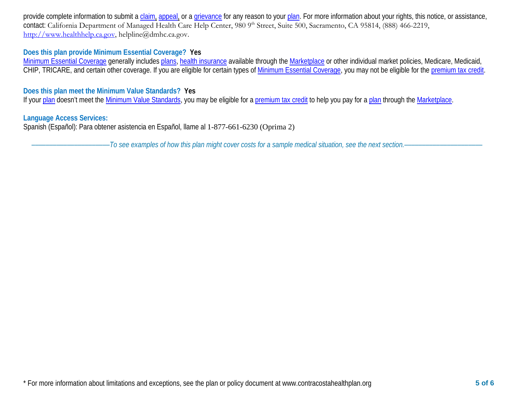provide complete information to submit a [claim,](https://www.healthcare.gov/sbc-glossary/#claim) [appeal,](https://www.healthcare.gov/sbc-glossary/#appeal) or a [grievance](https://www.healthcare.gov/sbc-glossary/#grievance) for any reason to your [plan.](https://www.healthcare.gov/sbc-glossary/#plan) For more information about your rights, this notice, or assistance, contact: California Department of Managed Health Care Help Center, 980 9<sup>th</sup> Street, Suite 500, Sacramento, CA 95814, (888) 466-2219, [http://www.healthhelp.ca.gov,](http://www.healthhelp.ca.gov/) helpline@dmhc.ca.gov.

## **Does this plan provide Minimum Essential Coverage? Yes**

[Minimum Essential Coverage](https://www.healthcare.gov/sbc-glossary/#minimum-essential-coverage) generally includes [plans,](https://www.healthcare.gov/sbc-glossary/#plan) [health insurance](https://www.healthcare.gov/sbc-glossary/#health-insurance) available through the [Marketplace](https://www.healthcare.gov/sbc-glossary/#marketplace) or other individual market policies, Medicare, Medicaid, CHIP, TRICARE, and certain other coverage. If you are eligible for certain types of [Minimum Essential Coverage,](https://www.healthcare.gov/sbc-glossary/#minimum-essential-coverage) you may not be eligible for the [premium tax credit.](https://www.healthcare.gov/sbc-glossary/#premium-tax-credits)

## **Does this plan meet the Minimum Value Standards? Yes**

If your [plan](https://www.healthcare.gov/sbc-glossary/#plan) doesn't meet the [Minimum Value Standards,](https://www.healthcare.gov/sbc-glossary/#minimum-value-standard) you may be eligible for a [premium tax credit](https://www.healthcare.gov/sbc-glossary/#premium-tax-credits) to help you pay for a plan through the [Marketplace.](https://www.healthcare.gov/sbc-glossary/#marketplace)

## **Language Access Services:**

Spanish (Español): Para obtener asistencia en Español, llame al 1-877-661-6230 (Oprima 2)

––––––––––––––––––––––*To see examples of how this plan might cover costs for a sample medical situation, see the next section.–––––––––––*–––––––––––